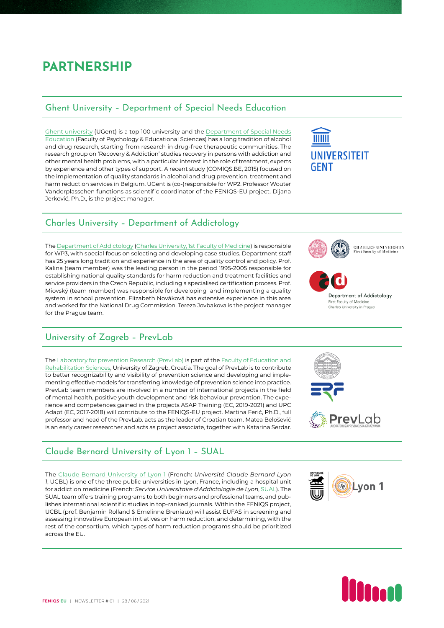## **PARTNERSHIP**

#### Ghent University – Department of Special Needs Education

[Ghent university](https://www.ugent.be/en) (UGent) is a top 100 university and the [Department of Special Needs](https://www.ugent.be/pp/orthopedagogiek/en) [Education](https://www.ugent.be/pp/orthopedagogiek/en) (Faculty of Psychology & Educational Sciences) has a long tradition of alcohol and drug research, starting from research in drug-free therapeutic communities. The research group on 'Recovery & Addiction' studies recovery in persons with addiction and other mental health problems, with a particular interest in the role of treatment, experts by experience and other types of support. A recent study (COMIQS.BE, 2015) focused on the implementation of quality standards in alcohol and drug prevention, treatment and harm reduction services in Belgium. UGent is (co-)responsible for WP2. Professor Wouter Vanderplasschen functions as scientific coordinator of the FENIQS-EU project. Dijana Jerković, Ph.D., is the project manager.

### Charles University – Department of Addictology

The [Department of Addictology](https://www.adiktologie.cz/en) ([Charles University, 1st Faculty of Medicine](https://en.lf1.cuni.cz/)) is responsible for WP3, with special focus on selecting and developing case studies. Department staff has 25 years long tradition and experience in the area of quality control and policy. Prof. Kalina (team member) was the leading person in the period 1995-2005 responsible for establishing national quality standards for harm reduction and treatment facilities and service providers in the Czech Republic, including a specialised certification process. Prof. Miovský (team member) was responsible for developing and implementing a quality system in school prevention. Elizabeth Nováková has extensive experience in this area and worked for the National Drug Commission. Tereza Jovbakova is the project manager for the Prague team.

### University of Zagreb – PrevLab

The [Laboratory for prevention Research \(PrevLab\)](https://www.erf.unizg.hr/en/about-us/organization/institute/prevlab) is part of the [Faculty of Education and](https://www.erf.unizg.hr/en/) [Rehabilitation Sciences,](https://www.erf.unizg.hr/en/) University of Zagreb, Croatia. The goal of PrevLab is to contribute to better recognizability and visibility of prevention science and developing and implementing effective models for transferring knowledge of prevention science into practice. PrevLab team members are involved in a number of international projects in the field of mental health, positive youth development and risk behaviour prevention. The experience and competences gained in the projects ASAP Training (EC, 2019-2021) and UPC Adapt (EC, 2017-2018) will contribute to the FENIQS-EU project. Martina Ferić, Ph.D., full professor and head of the PrevLab. acts as the leader of Croatian team. Matea Belošević is an early career researcher and acts as project associate, together with Katarina Serdar.

### Claude Bernard University of Lyon 1 – SUAL

The [Claude Bernard University of Lyon 1](https://www.univ-lyon1.fr/) (French: *Université Claude Bernard Lyon 1*, UCBL) is one of the three public universities in Lyon, France, including a hospital unit for addiction medicine (French: *Service Universitaire d'Addictologie de Lyon*, [SUAL](https://www.addictolyon.fr/sual-vinatier)). The SUAL team offers training programs to both beginners and professional teams, and publishes international scientific studies in top-ranked journals. Within the FENIQS project, UCBL (prof. Benjamin Rolland & Emelinne Breniaux) will assist EUFAS in screening and assessing innovative European initiatives on harm reduction, and determining, with the rest of the consortium, which types of harm reduction programs should be prioritized across the EU.

# **UNIVERSITEIT** GFNT



**CHARLES UNIVERSITY**<br>First Faculty of Medicine